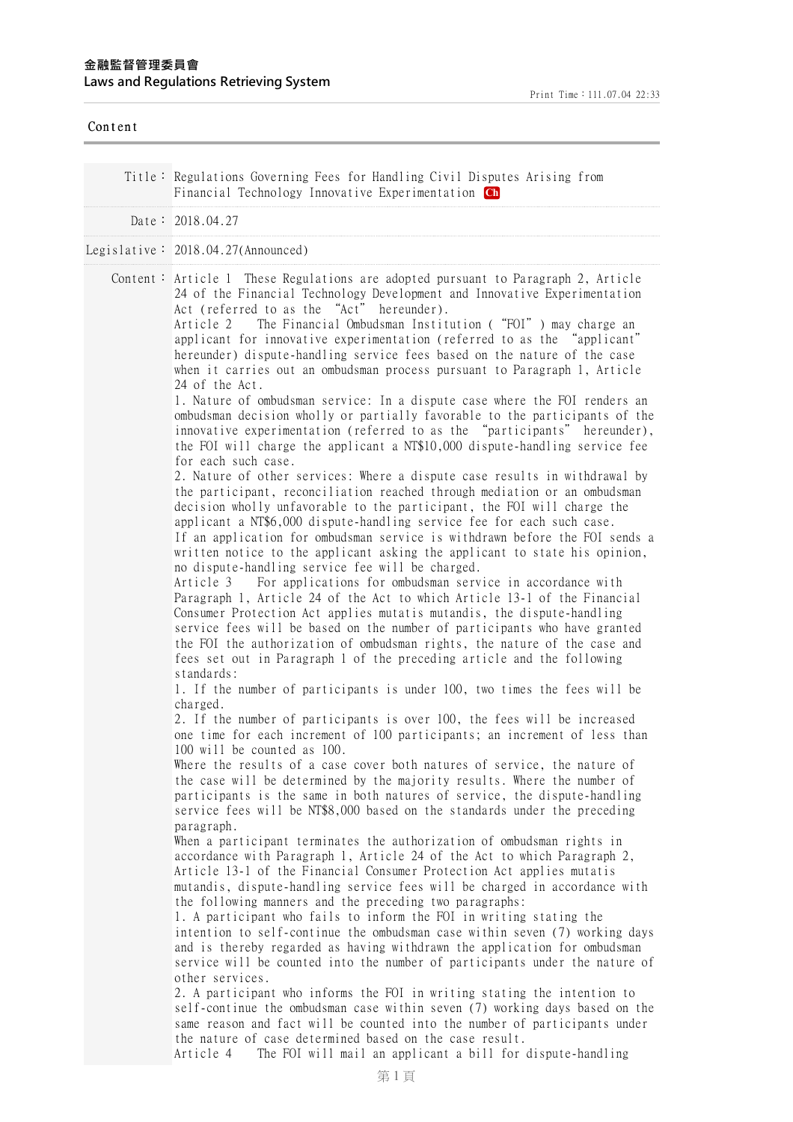| Content |                                                                                                                                                                                                                                                                                                                                                                                                                                                                                                                                                                                                                                                                                                                                                                                                                                                                                                                                                                                                                                                                                                                                                                                                                                                                                                                                                                                                                                                                                                                                                                                                                                                                                                                                                                                                                                                                                                                                                                                                                                                                                                                                                                                                                                                                                                                                                                                                                                                                                                                                                                                                                                                                                                                                                                                                                                                                                                                                                                                                                                                                                                                                                                                                                                                                                                                                                                                                                                                                                                                                                                                                                             |
|---------|-----------------------------------------------------------------------------------------------------------------------------------------------------------------------------------------------------------------------------------------------------------------------------------------------------------------------------------------------------------------------------------------------------------------------------------------------------------------------------------------------------------------------------------------------------------------------------------------------------------------------------------------------------------------------------------------------------------------------------------------------------------------------------------------------------------------------------------------------------------------------------------------------------------------------------------------------------------------------------------------------------------------------------------------------------------------------------------------------------------------------------------------------------------------------------------------------------------------------------------------------------------------------------------------------------------------------------------------------------------------------------------------------------------------------------------------------------------------------------------------------------------------------------------------------------------------------------------------------------------------------------------------------------------------------------------------------------------------------------------------------------------------------------------------------------------------------------------------------------------------------------------------------------------------------------------------------------------------------------------------------------------------------------------------------------------------------------------------------------------------------------------------------------------------------------------------------------------------------------------------------------------------------------------------------------------------------------------------------------------------------------------------------------------------------------------------------------------------------------------------------------------------------------------------------------------------------------------------------------------------------------------------------------------------------------------------------------------------------------------------------------------------------------------------------------------------------------------------------------------------------------------------------------------------------------------------------------------------------------------------------------------------------------------------------------------------------------------------------------------------------------------------------------------------------------------------------------------------------------------------------------------------------------------------------------------------------------------------------------------------------------------------------------------------------------------------------------------------------------------------------------------------------------------------------------------------------------------------------------------------------------|
|         | Title: Regulations Governing Fees for Handling Civil Disputes Arising from<br>Financial Technology Innovative Experimentation Ch                                                                                                                                                                                                                                                                                                                                                                                                                                                                                                                                                                                                                                                                                                                                                                                                                                                                                                                                                                                                                                                                                                                                                                                                                                                                                                                                                                                                                                                                                                                                                                                                                                                                                                                                                                                                                                                                                                                                                                                                                                                                                                                                                                                                                                                                                                                                                                                                                                                                                                                                                                                                                                                                                                                                                                                                                                                                                                                                                                                                                                                                                                                                                                                                                                                                                                                                                                                                                                                                                            |
|         | Date: 2018.04.27                                                                                                                                                                                                                                                                                                                                                                                                                                                                                                                                                                                                                                                                                                                                                                                                                                                                                                                                                                                                                                                                                                                                                                                                                                                                                                                                                                                                                                                                                                                                                                                                                                                                                                                                                                                                                                                                                                                                                                                                                                                                                                                                                                                                                                                                                                                                                                                                                                                                                                                                                                                                                                                                                                                                                                                                                                                                                                                                                                                                                                                                                                                                                                                                                                                                                                                                                                                                                                                                                                                                                                                                            |
|         | Legislative: $2018.04.27$ (Announced)                                                                                                                                                                                                                                                                                                                                                                                                                                                                                                                                                                                                                                                                                                                                                                                                                                                                                                                                                                                                                                                                                                                                                                                                                                                                                                                                                                                                                                                                                                                                                                                                                                                                                                                                                                                                                                                                                                                                                                                                                                                                                                                                                                                                                                                                                                                                                                                                                                                                                                                                                                                                                                                                                                                                                                                                                                                                                                                                                                                                                                                                                                                                                                                                                                                                                                                                                                                                                                                                                                                                                                                       |
|         | Content: Article 1 These Regulations are adopted pursuant to Paragraph 2, Article<br>24 of the Financial Technology Development and Innovative Experimentation<br>Act (referred to as the "Act" hereunder).<br>The Financial Ombudsman Institution ("FOI") may charge an<br>Article 2<br>applicant for innovative experimentation (referred to as the "applicant"<br>hereunder) dispute-handling service fees based on the nature of the case<br>when it carries out an ombudsman process pursuant to Paragraph 1, Article<br>24 of the Act.<br>1. Nature of ombudsman service: In a dispute case where the FOI renders an<br>ombudsman decision wholly or partially favorable to the participants of the<br>innovative experimentation (referred to as the "participants" hereunder),<br>the FOI will charge the applicant a NT\$10,000 dispute-handling service fee<br>for each such case.<br>2. Nature of other services: Where a dispute case results in withdrawal by<br>the participant, reconciliation reached through mediation or an ombudsman<br>decision wholly unfavorable to the participant, the FOI will charge the<br>applicant a NT\$6,000 dispute-handling service fee for each such case.<br>If an application for ombudsman service is withdrawn before the FOI sends a<br>written notice to the applicant asking the applicant to state his opinion,<br>no dispute-handling service fee will be charged.<br>Article 3 For applications for ombudsman service in accordance with<br>Paragraph 1, Article 24 of the Act to which Article 13-1 of the Financial<br>Consumer Protection Act applies mutatis mutandis, the dispute-handling<br>service fees will be based on the number of participants who have granted<br>the FOI the authorization of ombudsman rights, the nature of the case and<br>fees set out in Paragraph 1 of the preceding article and the following<br>standards:<br>1. If the number of participants is under 100, two times the fees will be<br>charged.<br>2. If the number of participants is over 100, the fees will be increased<br>one time for each increment of 100 participants; an increment of less than<br>100 will be counted as 100.<br>Where the results of a case cover both natures of service, the nature of<br>the case will be determined by the majority results. Where the number of<br>participants is the same in both natures of service, the dispute-handling<br>service fees will be NT\$8,000 based on the standards under the preceding<br>paragraph.<br>When a participant terminates the authorization of ombudsman rights in<br>accordance with Paragraph 1, Article 24 of the Act to which Paragraph 2,<br>Article 13-1 of the Financial Consumer Protection Act applies mutatis<br>mutandis, dispute-handling service fees will be charged in accordance with<br>the following manners and the preceding two paragraphs:<br>1. A participant who fails to inform the FOI in writing stating the<br>intention to self-continue the ombudsman case within seven (7) working days<br>and is thereby regarded as having withdrawn the application for ombudsman<br>service will be counted into the number of participants under the nature of<br>other services.<br>2. A participant who informs the FOI in writing stating the intention to<br>self-continue the ombudsman case within seven (7) working days based on the<br>same reason and fact will be counted into the number of participants under<br>the nature of case determined based on the case result.<br>The FOI will mail an applicant a bill for dispute-handling<br>Article 4 |